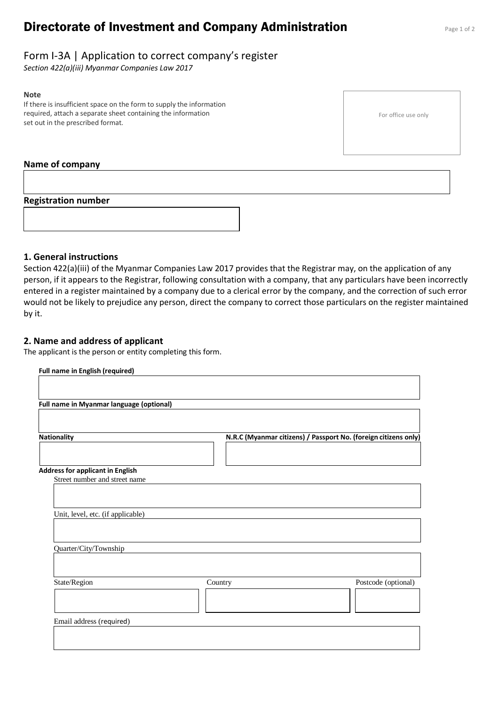# **Directorate of Investment and Company Administration** Page 1 of 2

# Form I-3A | Application to correct company's register

*Section 422(a)(iii) Myanmar Companies Law 2017*

#### **Note**

If there is insufficient space on the form to supply the information required, attach a separate sheet containing the information set out in the prescribed format.

For office use only

#### **Name of company**

#### **Registration number**



### **1. General instructions**

Section 422(a)(iii) of the Myanmar Companies Law 2017 provides that the Registrar may, on the application of any person, if it appears to the Registrar, following consultation with a company, that any particulars have been incorrectly entered in a register maintained by a company due to a clerical error by the company, and the correction of such error would not be likely to prejudice any person, direct the company to correct those particulars on the register maintained by it.

### **2. Name and address of applicant**

The applicant is the person or entity completing this form.

| N.R.C (Myanmar citizens) / Passport No. (foreign citizens only) |
|-----------------------------------------------------------------|
|                                                                 |
|                                                                 |
|                                                                 |
|                                                                 |
|                                                                 |
|                                                                 |
|                                                                 |
|                                                                 |
|                                                                 |
|                                                                 |
| Postcode (optional)<br>Country                                  |
|                                                                 |
|                                                                 |
|                                                                 |
|                                                                 |